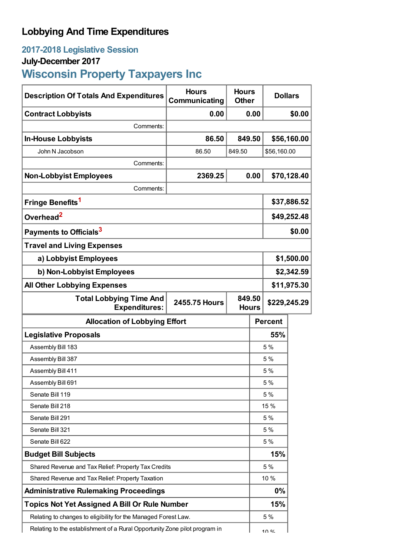## **Lobbying And Time Expenditures**

## **2017-2018 Legislative Session**

## **July-December 2017**

# **Wisconsin Property Taxpayers Inc**

| <b>Description Of Totals And Expenditures</b>                              | <b>Hours</b><br>Communicating | <b>Hours</b><br><b>Other</b> |              | <b>Dollars</b> |             |  |
|----------------------------------------------------------------------------|-------------------------------|------------------------------|--------------|----------------|-------------|--|
| <b>Contract Lobbyists</b>                                                  | 0.00                          | 0.00                         |              |                | \$0.00      |  |
| Comments:                                                                  |                               |                              |              |                |             |  |
| <b>In-House Lobbyists</b>                                                  | 86.50                         | 849.50                       |              | \$56,160.00    |             |  |
| John N Jacobson                                                            | 86.50                         | 849.50                       |              | \$56,160.00    |             |  |
| Comments:                                                                  |                               |                              |              |                |             |  |
| <b>Non-Lobbyist Employees</b>                                              | 2369.25                       |                              | 0.00         |                | \$70,128.40 |  |
| Comments:                                                                  |                               |                              |              |                |             |  |
| Fringe Benefits <sup>1</sup>                                               |                               | \$37,886.52                  |              |                |             |  |
| Overhead <sup>2</sup>                                                      |                               |                              | \$49,252.48  |                |             |  |
| Payments to Officials <sup>3</sup>                                         |                               |                              |              |                | \$0.00      |  |
| <b>Travel and Living Expenses</b>                                          |                               |                              |              |                |             |  |
| a) Lobbyist Employees                                                      |                               |                              |              | \$1,500.00     |             |  |
| b) Non-Lobbyist Employees                                                  |                               |                              |              | \$2,342.59     |             |  |
| <b>All Other Lobbying Expenses</b>                                         |                               |                              |              | \$11,975.30    |             |  |
| <b>Total Lobbying Time And</b><br><b>Expenditures:</b>                     | <b>2455.75 Hours</b>          | 849.50                       | <b>Hours</b> | \$229,245.29   |             |  |
| <b>Allocation of Lobbying Effort</b>                                       |                               |                              |              | <b>Percent</b> |             |  |
| <b>Legislative Proposals</b>                                               |                               |                              | 55%          |                |             |  |
| Assembly Bill 183                                                          |                               |                              | 5%           |                |             |  |
| Assembly Bill 387                                                          |                               |                              | 5%           |                |             |  |
| Assembly Bill 411                                                          |                               |                              | 5%           |                |             |  |
| Assembly Bill 691                                                          |                               |                              | 5 %          |                |             |  |
| Senate Bill 119                                                            |                               |                              | 5 %          |                |             |  |
| Senate Bill 218                                                            |                               |                              | 15 %         |                |             |  |
| Senate Bill 291                                                            |                               |                              | 5 %          |                |             |  |
| Senate Bill 321                                                            |                               |                              | 5 %          |                |             |  |
| Senate Bill 622                                                            |                               |                              | 5 %          |                |             |  |
| <b>Budget Bill Subjects</b>                                                |                               |                              | 15%          |                |             |  |
| Shared Revenue and Tax Relief: Property Tax Credits                        |                               |                              | 5 %          |                |             |  |
| Shared Revenue and Tax Relief: Property Taxation                           |                               |                              | 10 %         |                |             |  |
| <b>Administrative Rulemaking Proceedings</b>                               |                               |                              | 0%           |                |             |  |
| <b>Topics Not Yet Assigned A Bill Or Rule Number</b>                       |                               |                              | 15%          |                |             |  |
| Relating to changes to eligibility for the Managed Forest Law.             |                               |                              | 5 %          |                |             |  |
| Relating to the establishment of a Rural Opportunity Zone pilot program in |                               | 100 <sub>4</sub>             |              |                |             |  |